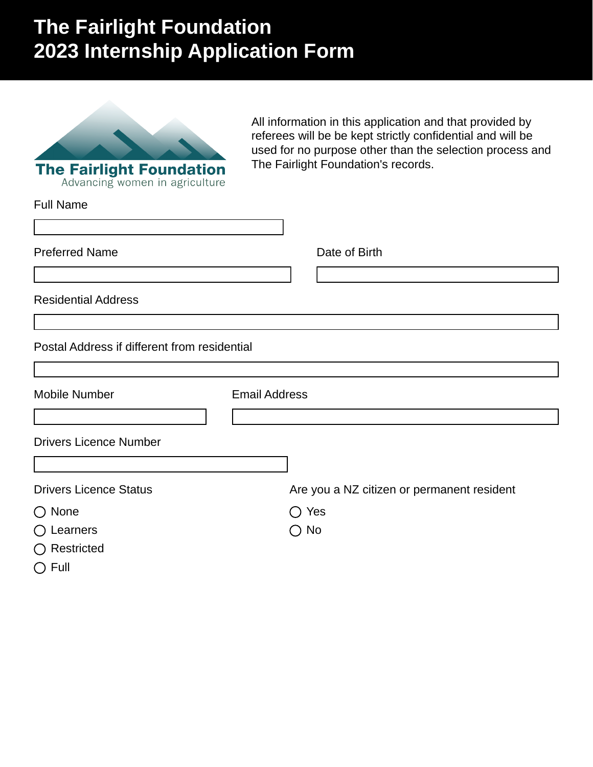# **The Fairlight Foundation 2023 Internship Application Form**



All information in this application and that provided by referees will be be kept strictly confidential and will be used for no purpose other than the selection process and The Fairlight Foundation's records.

| <b>Full Name</b>                             |                                            |
|----------------------------------------------|--------------------------------------------|
| <b>Preferred Name</b>                        | Date of Birth                              |
|                                              |                                            |
| <b>Residential Address</b>                   |                                            |
|                                              |                                            |
| Postal Address if different from residential |                                            |
|                                              |                                            |
| <b>Mobile Number</b>                         | <b>Email Address</b>                       |
|                                              |                                            |
| <b>Drivers Licence Number</b>                |                                            |
|                                              |                                            |
| <b>Drivers Licence Status</b>                | Are you a NZ citizen or permanent resident |
| $\bigcirc$ None                              | $\bigcirc$ Yes                             |
| $\bigcirc$ Learners                          | $\bigcirc$ No                              |
| $\bigcirc$ Restricted                        |                                            |
| $\bigcirc$ Full                              |                                            |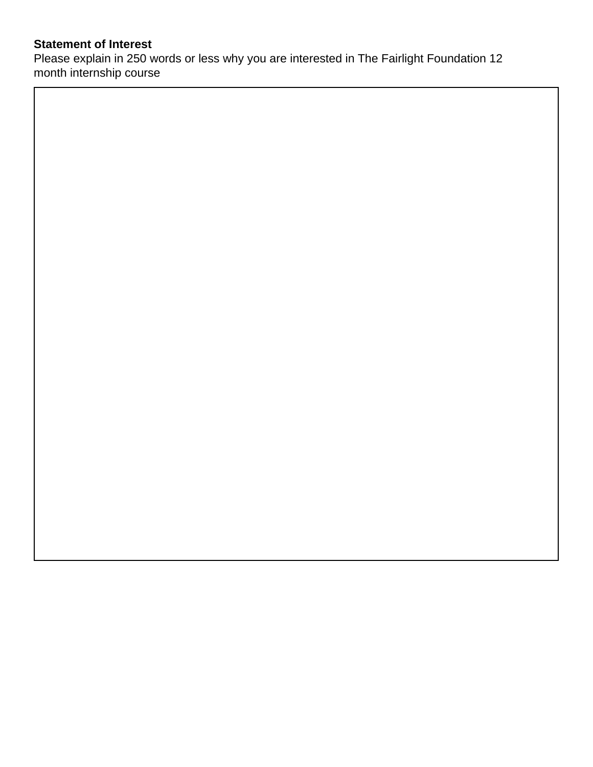## **Statement of Interest**

Please explain in 250 words or less why you are interested in The Fairlight Foundation 12 month internship course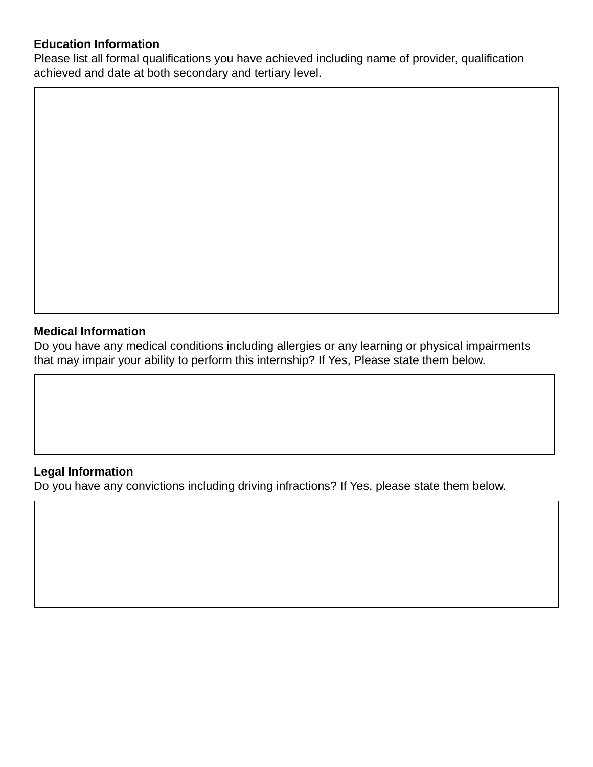#### **Education Information**

Please list all formal qualifications you have achieved including name of provider, qualification achieved and date at both secondary and tertiary level.

#### **Medical Information**

Do you have any medical conditions including allergies or any learning or physical impairments that may impair your ability to perform this internship? If Yes, Please state them below.

#### **Legal Information**

Do you have any convictions including driving infractions? If Yes, please state them below.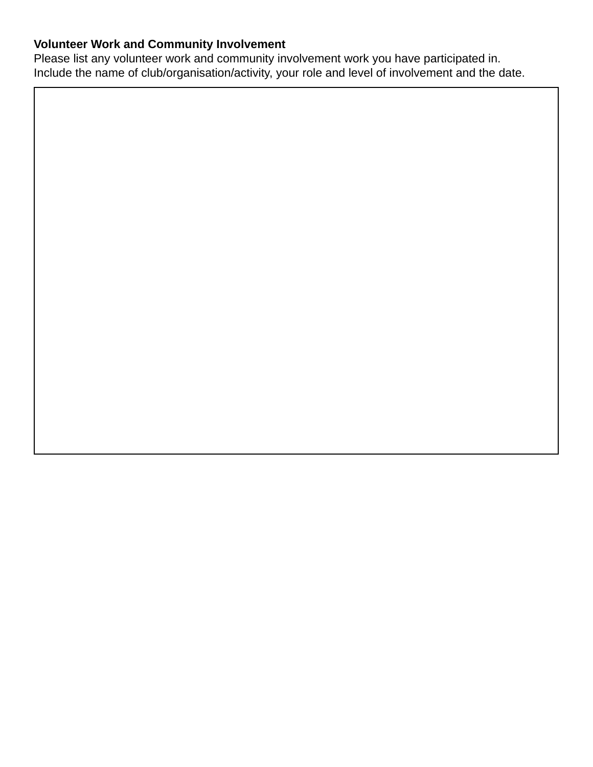# **Volunteer Work and Community Involvement**

Please list any volunteer work and community involvement work you have participated in. Include the name of club/organisation/activity, your role and level of involvement and the date.